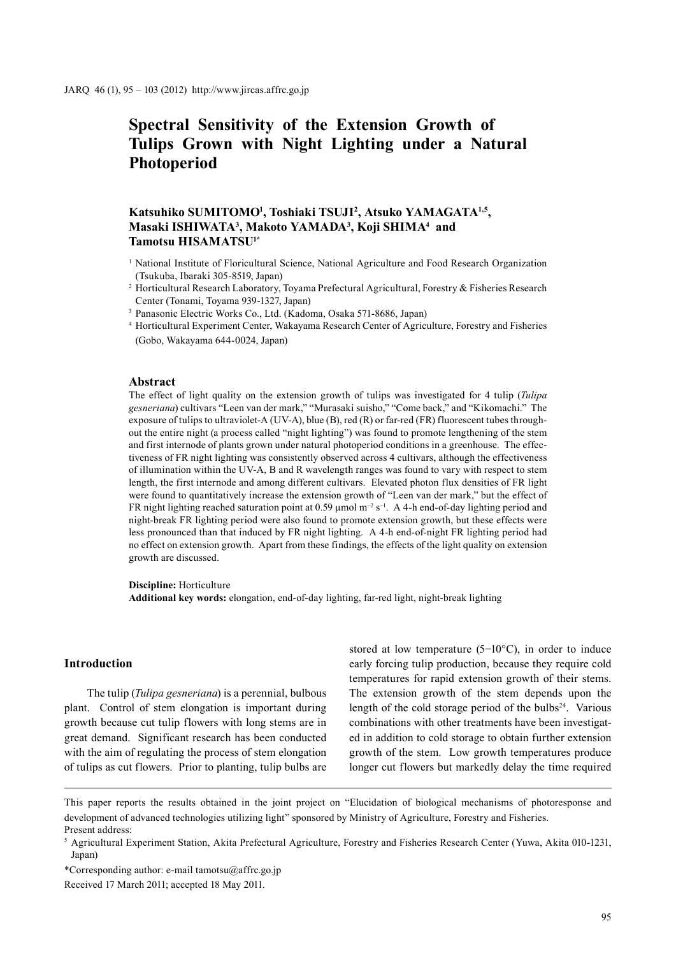# **Spectral Sensitivity of the Extension Growth of Tulips Grown with Night Lighting under a Natural Photoperiod**

## **Katsuhiko SUMITOMO1 , Toshiaki TSUJI2 , Atsuko YAMAGATA1,5, Masaki ISHIWATA3 , Makoto YAMADA3 , Koji SHIMA4 and Tamotsu HISAMATSU1\***

- <sup>1</sup> National Institute of Floricultural Science, National Agriculture and Food Research Organization (Tsukuba, Ibaraki 305-8519, Japan)
- <sup>2</sup> Horticultural Research Laboratory, Toyama Prefectural Agricultural, Forestry & Fisheries Research Center (Tonami, Toyama 939-1327, Japan)
- <sup>3</sup> Panasonic Electric Works Co., Ltd. (Kadoma, Osaka 571-8686, Japan)
- <sup>4</sup> Horticultural Experiment Center, Wakayama Research Center of Agriculture, Forestry and Fisheries (Gobo, Wakayama 644-0024, Japan)

#### **Abstract**

The effect of light quality on the extension growth of tulips was investigated for 4 tulip (*Tulipa gesneriana*) cultivars "Leen van der mark," "Murasaki suisho," "Come back," and "Kikomachi." The exposure of tulips to ultraviolet-A (UV-A), blue (B), red (R) or far-red (FR) fluorescent tubes throughout the entire night (a process called "night lighting") was found to promote lengthening of the stem and first internode of plants grown under natural photoperiod conditions in a greenhouse. The effectiveness of FR night lighting was consistently observed across 4 cultivars, although the effectiveness of illumination within the UV-A, B and R wavelength ranges was found to vary with respect to stem length, the first internode and among different cultivars. Elevated photon flux densities of FR light were found to quantitatively increase the extension growth of "Leen van der mark," but the effect of FR night lighting reached saturation point at 0.59 µmol  $m^{-2} s^{-1}$ . A 4-h end-of-day lighting period and night-break FR lighting period were also found to promote extension growth, but these effects were less pronounced than that induced by FR night lighting. A 4-h end-of-night FR lighting period had no effect on extension growth. Apart from these findings, the effects of the light quality on extension growth are discussed.

**Discipline:** Horticulture **Additional key words:** elongation, end-of-day lighting, far-red light, night-break lighting

## **Introduction**

The tulip (*Tulipa gesneriana*) is a perennial, bulbous plant. Control of stem elongation is important during growth because cut tulip flowers with long stems are in great demand. Significant research has been conducted with the aim of regulating the process of stem elongation of tulips as cut flowers. Prior to planting, tulip bulbs are stored at low temperature (5−10°C), in order to induce early forcing tulip production, because they require cold temperatures for rapid extension growth of their stems. The extension growth of the stem depends upon the length of the cold storage period of the bulbs $24$ . Various combinations with other treatments have been investigated in addition to cold storage to obtain further extension growth of the stem. Low growth temperatures produce longer cut flowers but markedly delay the time required

This paper reports the results obtained in the joint project on "Elucidation of biological mechanisms of photoresponse and development of advanced technologies utilizing light" sponsored by Ministry of Agriculture, Forestry and Fisheries. Present address:

<sup>5</sup> Agricultural Experiment Station, Akita Prefectural Agriculture, Forestry and Fisheries Research Center (Yuwa, Akita 010-1231, Japan)

<sup>\*</sup>Corresponding author: e-mail tamotsu@affrc.go.jp

Received 17 March 2011; accepted 18 May 2011.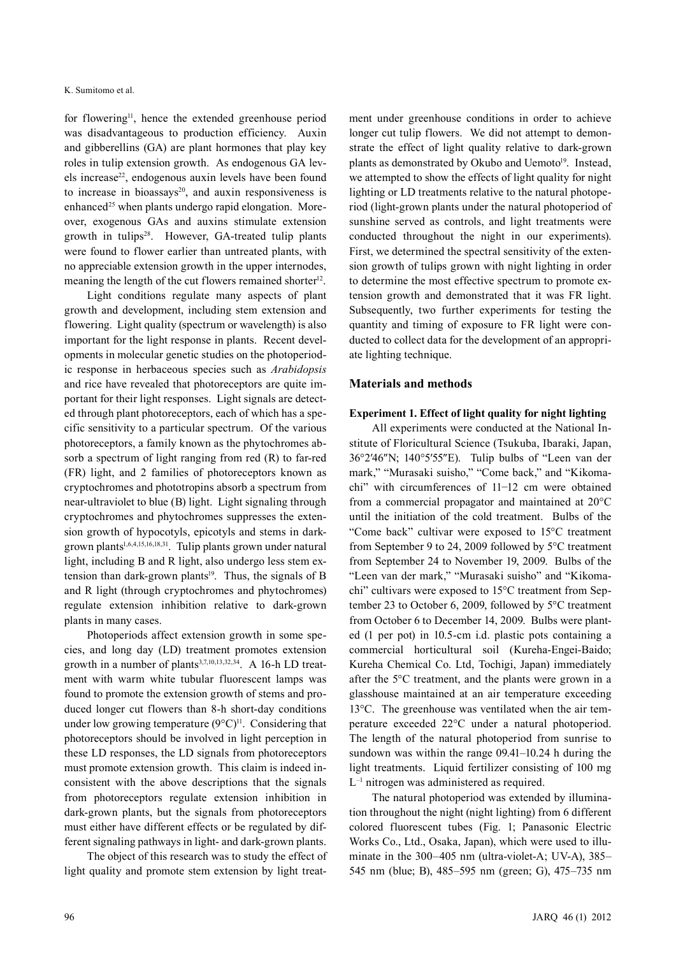for flowering<sup>11</sup>, hence the extended greenhouse period was disadvantageous to production efficiency. Auxin and gibberellins (GA) are plant hormones that play key roles in tulip extension growth. As endogenous GA levels increase<sup>22</sup>, endogenous auxin levels have been found to increase in bioassays<sup>20</sup>, and auxin responsiveness is enhanced<sup>25</sup> when plants undergo rapid elongation. Moreover, exogenous GAs and auxins stimulate extension growth in tulips<sup>28</sup>. However, GA-treated tulip plants were found to flower earlier than untreated plants, with no appreciable extension growth in the upper internodes, meaning the length of the cut flowers remained shorter<sup>12</sup>.

Light conditions regulate many aspects of plant growth and development, including stem extension and flowering. Light quality (spectrum or wavelength) is also important for the light response in plants. Recent developments in molecular genetic studies on the photoperiodic response in herbaceous species such as *Arabidopsis* and rice have revealed that photoreceptors are quite important for their light responses. Light signals are detected through plant photoreceptors, each of which has a specific sensitivity to a particular spectrum. Of the various photoreceptors, a family known as the phytochromes absorb a spectrum of light ranging from red (R) to far-red (FR) light, and 2 families of photoreceptors known as cryptochromes and phototropins absorb a spectrum from near-ultraviolet to blue (B) light. Light signaling through cryptochromes and phytochromes suppresses the extension growth of hypocotyls, epicotyls and stems in darkgrown plants<sup>1,6,4,15,16,18,31</sup>. Tulip plants grown under natural light, including B and R light, also undergo less stem extension than dark-grown plants<sup>19</sup>. Thus, the signals of B and R light (through cryptochromes and phytochromes) regulate extension inhibition relative to dark-grown plants in many cases.

Photoperiods affect extension growth in some species, and long day (LD) treatment promotes extension growth in a number of plants<sup>3,7,10,13,32,34</sup>. A 16-h LD treatment with warm white tubular fluorescent lamps was found to promote the extension growth of stems and produced longer cut flowers than 8-h short-day conditions under low growing temperature  $(9^{\circ}C)^{11}$ . Considering that photoreceptors should be involved in light perception in these LD responses, the LD signals from photoreceptors must promote extension growth. This claim is indeed inconsistent with the above descriptions that the signals from photoreceptors regulate extension inhibition in dark-grown plants, but the signals from photoreceptors must either have different effects or be regulated by different signaling pathways in light- and dark-grown plants.

The object of this research was to study the effect of light quality and promote stem extension by light treatment under greenhouse conditions in order to achieve longer cut tulip flowers. We did not attempt to demonstrate the effect of light quality relative to dark-grown plants as demonstrated by Okubo and Uemoto<sup>19</sup>. Instead, we attempted to show the effects of light quality for night lighting or LD treatments relative to the natural photoperiod (light-grown plants under the natural photoperiod of sunshine served as controls, and light treatments were conducted throughout the night in our experiments). First, we determined the spectral sensitivity of the extension growth of tulips grown with night lighting in order to determine the most effective spectrum to promote extension growth and demonstrated that it was FR light. Subsequently, two further experiments for testing the quantity and timing of exposure to FR light were conducted to collect data for the development of an appropriate lighting technique.

## **Materials and methods**

#### **Experiment 1. Effect of light quality for night lighting**

All experiments were conducted at the National Institute of Floricultural Science (Tsukuba, Ibaraki, Japan, 36°2′46″N; 140°5′55″E). Tulip bulbs of "Leen van der mark," "Murasaki suisho," "Come back," and "Kikomachi" with circumferences of 11−12 cm were obtained from a commercial propagator and maintained at 20°C until the initiation of the cold treatment. Bulbs of the "Come back" cultivar were exposed to 15°C treatment from September 9 to 24, 2009 followed by 5°C treatment from September 24 to November 19, 2009. Bulbs of the "Leen van der mark," "Murasaki suisho" and "Kikomachi" cultivars were exposed to 15°C treatment from September 23 to October 6, 2009, followed by 5°C treatment from October 6 to December 14, 2009. Bulbs were planted (1 per pot) in 10.5-cm i.d. plastic pots containing a commercial horticultural soil (Kureha-Engei-Baido; Kureha Chemical Co. Ltd, Tochigi, Japan) immediately after the 5°C treatment, and the plants were grown in a glasshouse maintained at an air temperature exceeding 13°C. The greenhouse was ventilated when the air temperature exceeded 22°C under a natural photoperiod. The length of the natural photoperiod from sunrise to sundown was within the range 09.41–10.24 h during the light treatments. Liquid fertilizer consisting of 100 mg L–1 nitrogen was administered as required.

The natural photoperiod was extended by illumination throughout the night (night lighting) from 6 different colored fluorescent tubes (Fig. 1; Panasonic Electric Works Co., Ltd., Osaka, Japan), which were used to illuminate in the 300–405 nm (ultra-violet-A; UV-A), 385– 545 nm (blue; B), 485–595 nm (green; G), 475–735 nm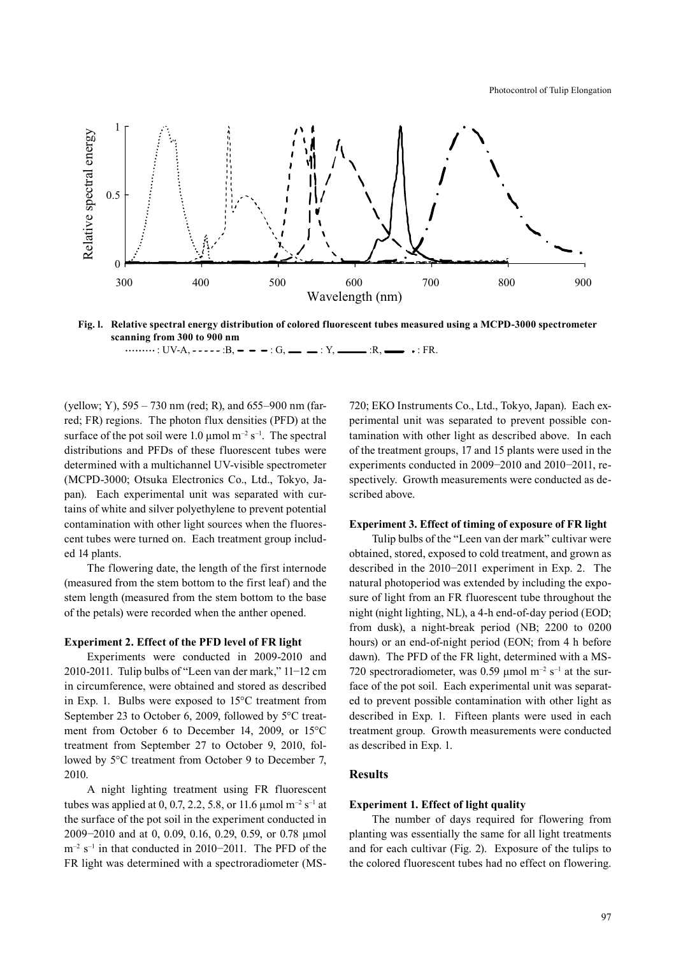

**Fig. l. Relative spectral energy distribution of colored fluorescent tubes measured using a MCPD-3000 spectrometer scanning from 300 to 900 nm** : UV-A, :B, : G, : Y, :R, : FR.

(yellow; Y), 595 – 730 nm (red; R), and 655–900 nm (farred; FR) regions. The photon flux densities (PFD) at the surface of the pot soil were 1.0  $\mu$ mol m<sup>-2</sup> s<sup>-1</sup>. The spectral distributions and PFDs of these fluorescent tubes were determined with a multichannel UV-visible spectrometer (MCPD-3000; Otsuka Electronics Co., Ltd., Tokyo, Japan). Each experimental unit was separated with curtains of white and silver polyethylene to prevent potential contamination with other light sources when the fluorescent tubes were turned on. Each treatment group included 14 plants.

The flowering date, the length of the first internode (measured from the stem bottom to the first leaf) and the stem length (measured from the stem bottom to the base of the petals) were recorded when the anther opened.

#### **Experiment 2. Effect of the PFD level of FR light**

Experiments were conducted in 2009-2010 and 2010-2011. Tulip bulbs of "Leen van der mark," 11−12 cm in circumference, were obtained and stored as described in Exp. 1. Bulbs were exposed to 15°C treatment from September 23 to October 6, 2009, followed by 5°C treatment from October 6 to December 14, 2009, or 15°C treatment from September 27 to October 9, 2010, followed by 5°C treatment from October 9 to December 7, 2010.

A night lighting treatment using FR fluorescent tubes was applied at 0, 0.7, 2.2, 5.8, or 11.6  $\mu$ mol m<sup>-2</sup> s<sup>-1</sup> at the surface of the pot soil in the experiment conducted in 2009−2010 and at 0, 0.09, 0.16, 0.29, 0.59, or 0.78 µmol m<sup>-2</sup> s<sup>-1</sup> in that conducted in 2010−2011. The PFD of the FR light was determined with a spectroradiometer (MS- 720; EKO Instruments Co., Ltd., Tokyo, Japan). Each experimental unit was separated to prevent possible contamination with other light as described above. In each of the treatment groups, 17 and 15 plants were used in the experiments conducted in 2009−2010 and 2010−2011, respectively. Growth measurements were conducted as described above.

#### **Experiment 3. Effect of timing of exposure of FR light**

Tulip bulbs of the "Leen van der mark" cultivar were obtained, stored, exposed to cold treatment, and grown as described in the 2010−2011 experiment in Exp. 2. The natural photoperiod was extended by including the exposure of light from an FR fluorescent tube throughout the night (night lighting, NL), a 4-h end-of-day period (EOD; from dusk), a night-break period (NB; 2200 to 0200 hours) or an end-of-night period (EON; from 4 h before dawn). The PFD of the FR light, determined with a MS-720 spectroradiometer, was 0.59  $\mu$ mol m<sup>-2</sup> s<sup>-1</sup> at the surface of the pot soil. Each experimental unit was separated to prevent possible contamination with other light as described in Exp. 1. Fifteen plants were used in each treatment group. Growth measurements were conducted as described in Exp. 1.

## **Results**

#### **Experiment 1. Effect of light quality**

The number of days required for flowering from planting was essentially the same for all light treatments and for each cultivar (Fig. 2). Exposure of the tulips to the colored fluorescent tubes had no effect on flowering.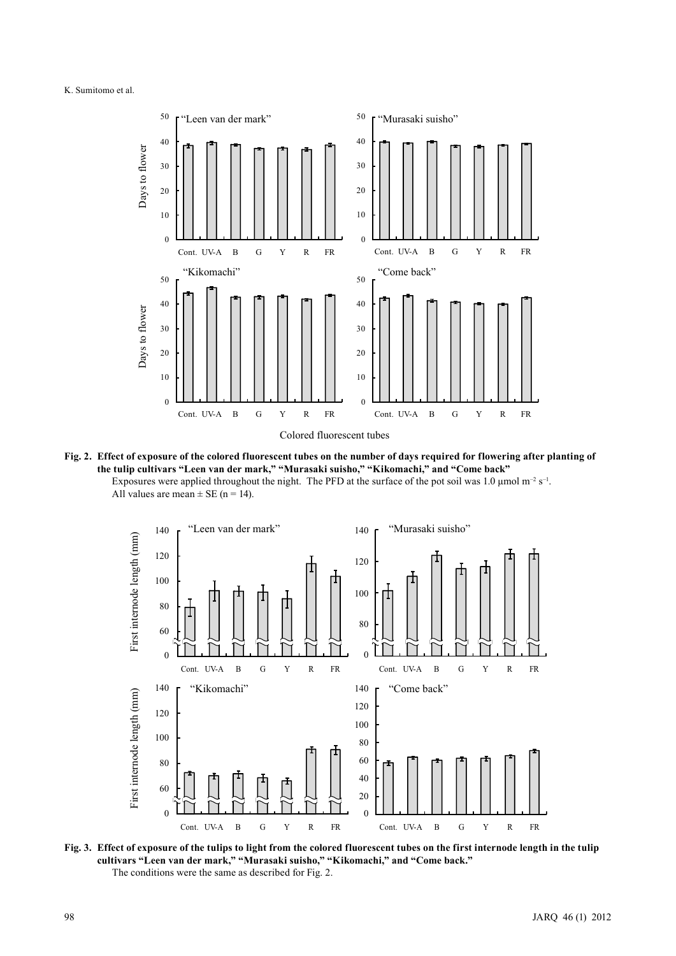

**Fig. 2. Effect of exposure of the colored fluorescent tubes on the number of days required for flowering after planting of the tulip cultivars "Leen van der mark," "Murasaki suisho," "Kikomachi," and "Come back"** Exposures were applied throughout the night. The PFD at the surface of the pot soil was 1.0  $\mu$ mol m<sup>-2</sup> s<sup>-1</sup>. All values are mean  $\pm$  SE (n = 14).



**Fig. 3. Effect of exposure of the tulips to light from the colored fluorescent tubes on the first internode length in the tulip cultivars "Leen van der mark," "Murasaki suisho," "Kikomachi," and "Come back."**  The conditions were the same as described for Fig. 2.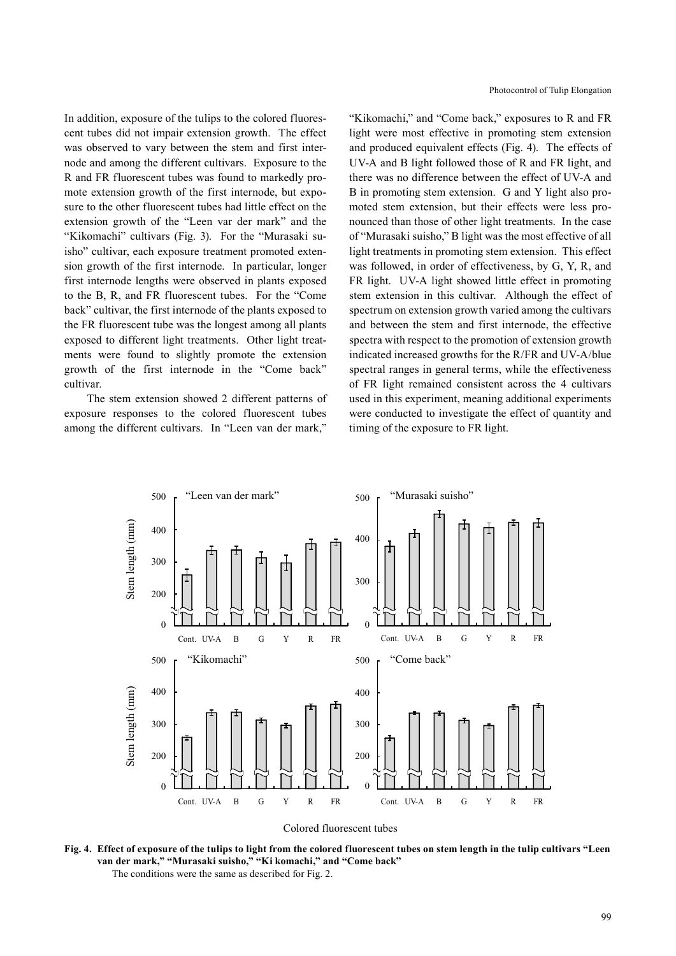In addition, exposure of the tulips to the colored fluorescent tubes did not impair extension growth. The effect was observed to vary between the stem and first internode and among the different cultivars. Exposure to the R and FR fluorescent tubes was found to markedly promote extension growth of the first internode, but exposure to the other fluorescent tubes had little effect on the extension growth of the "Leen var der mark" and the "Kikomachi" cultivars (Fig. 3). For the "Murasaki suisho" cultivar, each exposure treatment promoted extension growth of the first internode. In particular, longer first internode lengths were observed in plants exposed to the B, R, and FR fluorescent tubes. For the "Come back" cultivar, the first internode of the plants exposed to the FR fluorescent tube was the longest among all plants exposed to different light treatments. Other light treatments were found to slightly promote the extension growth of the first internode in the "Come back" cultivar.

The stem extension showed 2 different patterns of exposure responses to the colored fluorescent tubes among the different cultivars. In "Leen van der mark,"

"Kikomachi," and "Come back," exposures to R and FR light were most effective in promoting stem extension and produced equivalent effects (Fig. 4). The effects of UV-A and B light followed those of R and FR light, and there was no difference between the effect of UV-A and B in promoting stem extension. G and Y light also promoted stem extension, but their effects were less pronounced than those of other light treatments. In the case of "Murasaki suisho," B light was the most effective of all light treatments in promoting stem extension. This effect was followed, in order of effectiveness, by G, Y, R, and FR light. UV-A light showed little effect in promoting stem extension in this cultivar. Although the effect of spectrum on extension growth varied among the cultivars and between the stem and first internode, the effective spectra with respect to the promotion of extension growth indicated increased growths for the R/FR and UV-A/blue spectral ranges in general terms, while the effectiveness of FR light remained consistent across the 4 cultivars used in this experiment, meaning additional experiments were conducted to investigate the effect of quantity and timing of the exposure to FR light.



Colored fluorescent tubes

**Fig. 4. Effect of exposure of the tulips to light from the colored fluorescent tubes on stem length in the tulip cultivars "Leen van der mark," "Murasaki suisho," "Ki komachi," and "Come back"** The conditions were the same as described for Fig. 2.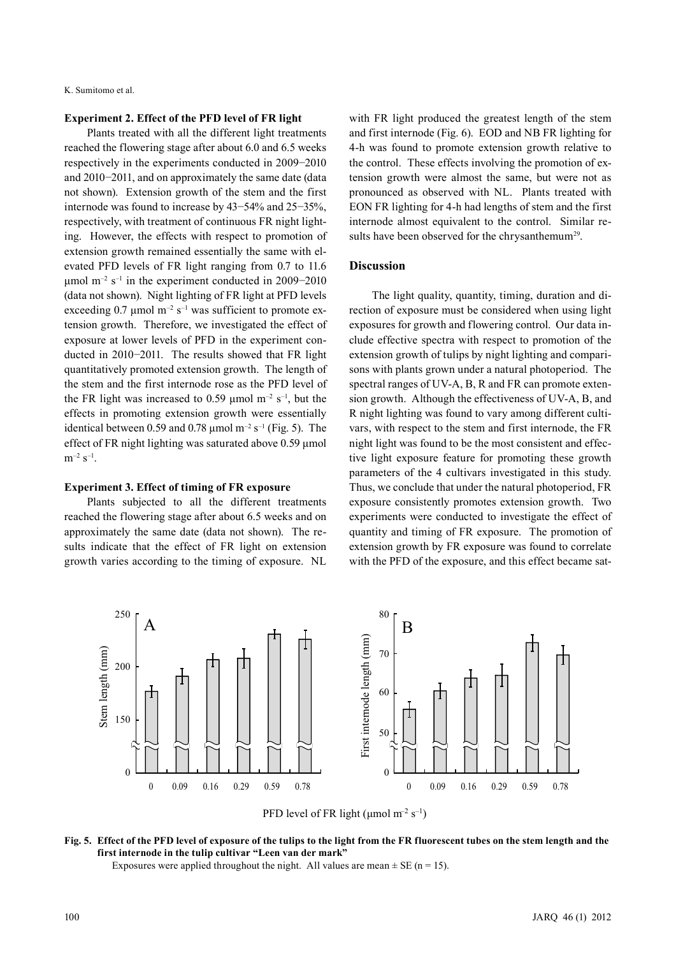## **Experiment 2. Effect of the PFD level of FR light**

Plants treated with all the different light treatments reached the flowering stage after about 6.0 and 6.5 weeks respectively in the experiments conducted in 2009−2010 and 2010−2011, and on approximately the same date (data not shown). Extension growth of the stem and the first internode was found to increase by 43−54% and 25−35%, respectively, with treatment of continuous FR night lighting. However, the effects with respect to promotion of extension growth remained essentially the same with elevated PFD levels of FR light ranging from 0.7 to 11.6 μmol m<sup>-2</sup> s<sup>-1</sup> in the experiment conducted in 2009–2010 (data not shown). Night lighting of FR light at PFD levels exceeding 0.7  $\mu$ mol m<sup>-2</sup> s<sup>-1</sup> was sufficient to promote extension growth. Therefore, we investigated the effect of exposure at lower levels of PFD in the experiment conducted in 2010−2011. The results showed that FR light quantitatively promoted extension growth. The length of the stem and the first internode rose as the PFD level of the FR light was increased to 0.59  $\mu$ mol m<sup>-2</sup> s<sup>-1</sup>, but the effects in promoting extension growth were essentially identical between 0.59 and 0.78  $\mu$ mol m<sup>-2</sup> s<sup>-1</sup> (Fig. 5). The effect of FR night lighting was saturated above 0.59 μmol  $m^{-2}$  s<sup>-1</sup>.

#### **Experiment 3. Effect of timing of FR exposure**

Plants subjected to all the different treatments reached the flowering stage after about 6.5 weeks and on approximately the same date (data not shown). The results indicate that the effect of FR light on extension growth varies according to the timing of exposure. NL with FR light produced the greatest length of the stem and first internode (Fig. 6). EOD and NB FR lighting for 4-h was found to promote extension growth relative to the control. These effects involving the promotion of extension growth were almost the same, but were not as pronounced as observed with NL. Plants treated with EON FR lighting for 4-h had lengths of stem and the first internode almost equivalent to the control. Similar results have been observed for the chrysanthemum<sup>29</sup>.

## **Discussion**

The light quality, quantity, timing, duration and direction of exposure must be considered when using light exposures for growth and flowering control. Our data include effective spectra with respect to promotion of the extension growth of tulips by night lighting and comparisons with plants grown under a natural photoperiod. The spectral ranges of UV-A, B, R and FR can promote extension growth. Although the effectiveness of UV-A, B, and R night lighting was found to vary among different cultivars, with respect to the stem and first internode, the FR night light was found to be the most consistent and effective light exposure feature for promoting these growth parameters of the 4 cultivars investigated in this study. Thus, we conclude that under the natural photoperiod, FR exposure consistently promotes extension growth. Two experiments were conducted to investigate the effect of quantity and timing of FR exposure. The promotion of extension growth by FR exposure was found to correlate with the PFD of the exposure, and this effect became sat-



# **Fig. 5. Effect of the PFD level of exposure of the tulips to the light from the FR fluorescent tubes on the stem length and the first internode in the tulip cultivar "Leen van der mark"**

Exposures were applied throughout the night. All values are mean  $\pm$  SE (n = 15).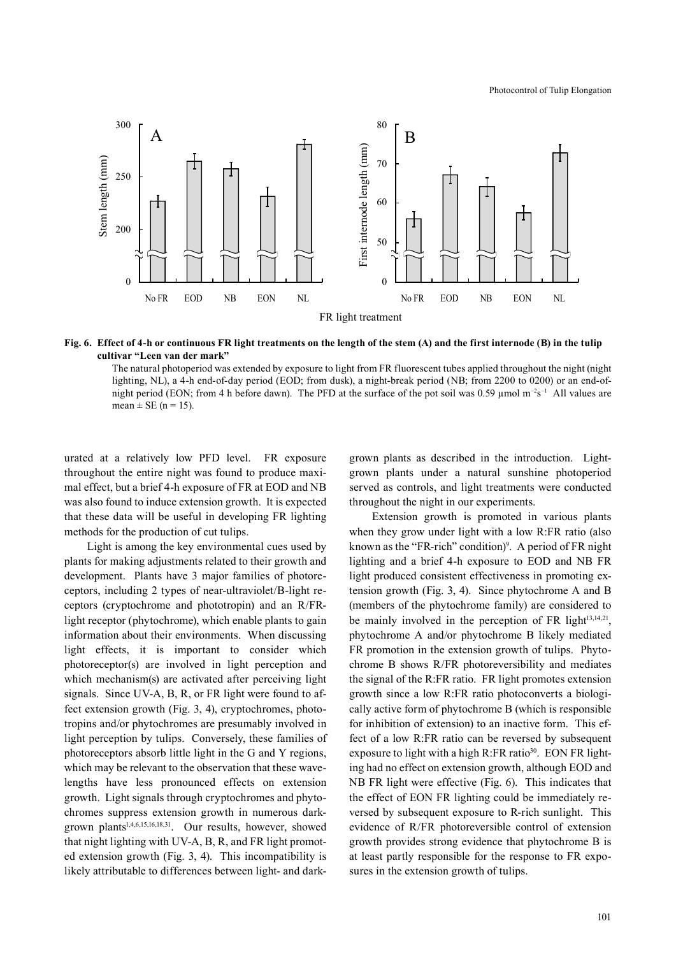

**Fig. 6. Effect of 4-h or continuous FR light treatments on the length of the stem (A) and the first internode (B) in the tulip cultivar "Leen van der mark"**

The natural photoperiod was extended by exposure to light from FR fluorescent tubes applied throughout the night (night lighting, NL), a 4-h end-of-day period (EOD; from dusk), a night-break period (NB; from 2200 to 0200) or an end-ofnight period (EON; from 4 h before dawn). The PFD at the surface of the pot soil was 0.59 µmol  $m^{-2}s^{-1}$  All values are mean  $\pm$  SE (n = 15).

urated at a relatively low PFD level. FR exposure throughout the entire night was found to produce maximal effect, but a brief 4-h exposure of FR at EOD and NB was also found to induce extension growth. It is expected that these data will be useful in developing FR lighting methods for the production of cut tulips.

Light is among the key environmental cues used by plants for making adjustments related to their growth and development. Plants have 3 major families of photoreceptors, including 2 types of near-ultraviolet/B-light receptors (cryptochrome and phototropin) and an R/FRlight receptor (phytochrome), which enable plants to gain information about their environments. When discussing light effects, it is important to consider which photoreceptor(s) are involved in light perception and which mechanism(s) are activated after perceiving light signals. Since UV-A, B, R, or FR light were found to affect extension growth (Fig. 3, 4), cryptochromes, phototropins and/or phytochromes are presumably involved in light perception by tulips. Conversely, these families of photoreceptors absorb little light in the G and Y regions, which may be relevant to the observation that these wavelengths have less pronounced effects on extension growth. Light signals through cryptochromes and phytochromes suppress extension growth in numerous darkgrown plants1,4,6,15,16,18,31. Our results, however, showed that night lighting with UV-A, B, R, and FR light promoted extension growth (Fig. 3, 4). This incompatibility is likely attributable to differences between light- and darkgrown plants as described in the introduction. Lightgrown plants under a natural sunshine photoperiod served as controls, and light treatments were conducted throughout the night in our experiments.

Extension growth is promoted in various plants when they grow under light with a low R:FR ratio (also known as the "FR-rich" condition)<sup>9</sup>. A period of FR night lighting and a brief 4-h exposure to EOD and NB FR light produced consistent effectiveness in promoting extension growth (Fig. 3, 4). Since phytochrome A and B (members of the phytochrome family) are considered to be mainly involved in the perception of FR light $(13,14,21)$ , phytochrome A and/or phytochrome B likely mediated FR promotion in the extension growth of tulips. Phytochrome B shows R/FR photoreversibility and mediates the signal of the R:FR ratio. FR light promotes extension growth since a low R:FR ratio photoconverts a biologically active form of phytochrome B (which is responsible for inhibition of extension) to an inactive form. This effect of a low R:FR ratio can be reversed by subsequent exposure to light with a high R:FR ratio<sup>30</sup>. EON FR lighting had no effect on extension growth, although EOD and NB FR light were effective (Fig. 6). This indicates that the effect of EON FR lighting could be immediately reversed by subsequent exposure to R-rich sunlight. This evidence of R/FR photoreversible control of extension growth provides strong evidence that phytochrome B is at least partly responsible for the response to FR exposures in the extension growth of tulips.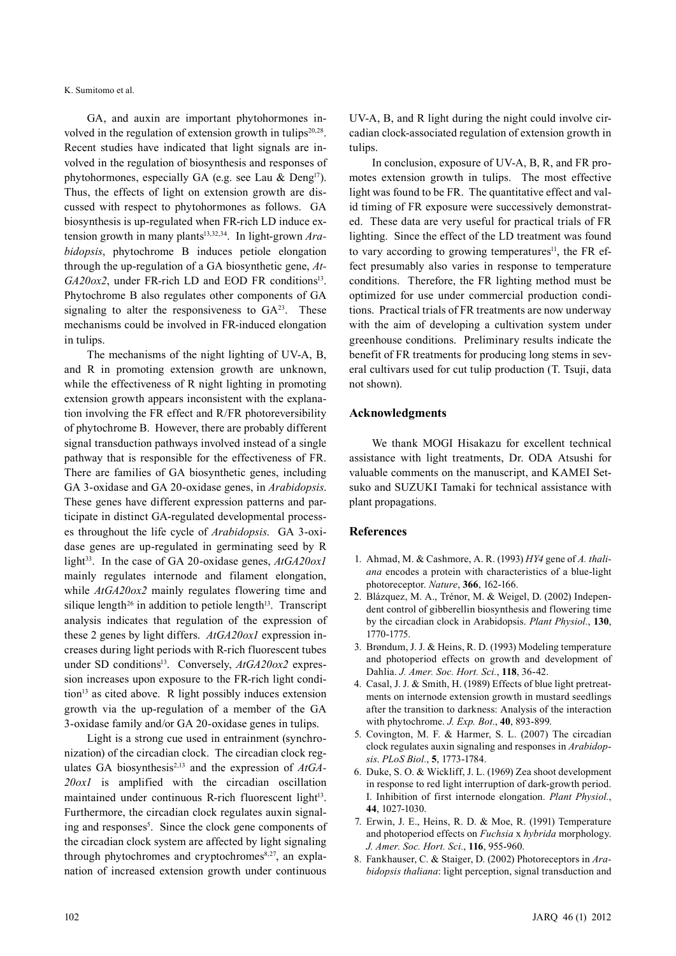GA, and auxin are important phytohormones involved in the regulation of extension growth in tulips $20.28$ . Recent studies have indicated that light signals are involved in the regulation of biosynthesis and responses of phytohormones, especially GA (e.g. see Lau  $\&$  Deng<sup>17</sup>). Thus, the effects of light on extension growth are discussed with respect to phytohormones as follows. GA biosynthesis is up-regulated when FR-rich LD induce extension growth in many plants<sup>13,32,34</sup>. In light-grown Ara*bidopsis*, phytochrome B induces petiole elongation through the up-regulation of a GA biosynthetic gene, *At-GA20ox2*, under FR-rich LD and EOD FR conditions<sup>13</sup>. Phytochrome B also regulates other components of GA signaling to alter the responsiveness to  $GA^{23}$ . These mechanisms could be involved in FR-induced elongation in tulips.

The mechanisms of the night lighting of UV-A, B, and R in promoting extension growth are unknown, while the effectiveness of R night lighting in promoting extension growth appears inconsistent with the explanation involving the FR effect and R/FR photoreversibility of phytochrome B. However, there are probably different signal transduction pathways involved instead of a single pathway that is responsible for the effectiveness of FR. There are families of GA biosynthetic genes, including GA 3-oxidase and GA 20-oxidase genes, in *Arabidopsis*. These genes have different expression patterns and participate in distinct GA-regulated developmental processes throughout the life cycle of *Arabidopsis*. GA 3-oxidase genes are up-regulated in germinating seed by R light<sup>33</sup>. In the case of GA 20-oxidase genes,  $AtGA20ox1$ mainly regulates internode and filament elongation, while  $AtGA20ox2$  mainly regulates flowering time and silique length<sup>26</sup> in addition to petiole length<sup>13</sup>. Transcript analysis indicates that regulation of the expression of these 2 genes by light differs. *AtGA20ox1* expression increases during light periods with R-rich fluorescent tubes under SD conditions<sup>13</sup>. Conversely, *AtGA20ox2* expression increases upon exposure to the FR-rich light condition<sup>13</sup> as cited above. R light possibly induces extension growth via the up-regulation of a member of the GA 3-oxidase family and/or GA 20-oxidase genes in tulips.

Light is a strong cue used in entrainment (synchronization) of the circadian clock. The circadian clock regulates GA biosynthesis<sup>2,13</sup> and the expression of  $AtGA$ -*20ox1* is amplified with the circadian oscillation maintained under continuous R-rich fluorescent light<sup>13</sup>. Furthermore, the circadian clock regulates auxin signaling and responses<sup>5</sup>. Since the clock gene components of the circadian clock system are affected by light signaling through phytochromes and cryptochromes $8,27$ , an explanation of increased extension growth under continuous

UV-A, B, and R light during the night could involve circadian clock-associated regulation of extension growth in tulips.

In conclusion, exposure of UV-A, B, R, and FR promotes extension growth in tulips. The most effective light was found to be FR. The quantitative effect and valid timing of FR exposure were successively demonstrated. These data are very useful for practical trials of FR lighting. Since the effect of the LD treatment was found to vary according to growing temperatures<sup>11</sup>, the FR effect presumably also varies in response to temperature conditions. Therefore, the FR lighting method must be optimized for use under commercial production conditions. Practical trials of FR treatments are now underway with the aim of developing a cultivation system under greenhouse conditions. Preliminary results indicate the benefit of FR treatments for producing long stems in several cultivars used for cut tulip production (T. Tsuji, data not shown).

## **Acknowledgments**

We thank MOGI Hisakazu for excellent technical assistance with light treatments, Dr. ODA Atsushi for valuable comments on the manuscript, and KAMEI Setsuko and SUZUKI Tamaki for technical assistance with plant propagations.

## **References**

- 1. Ahmad, M. & Cashmore, A. R. (1993) *HY4* gene of *A. thaliana* encodes a protein with characteristics of a blue-light photoreceptor. *Nature*, **366**, 162-166.
- 2. Blázquez, M. A., Trénor, M. & Weigel, D. (2002) Independent control of gibberellin biosynthesis and flowering time by the circadian clock in Arabidopsis. *Plant Physiol.*, **130**, 1770-1775.
- 3. Brøndum, J. J. & Heins, R. D. (1993) Modeling temperature and photoperiod effects on growth and development of Dahlia. *J. Amer. Soc. Hort. Sci.*, **118**, 36-42.
- 4. Casal, J. J. & Smith, H. (1989) Effects of blue light pretreatments on internode extension growth in mustard seedlings after the transition to darkness: Analysis of the interaction with phytochrome. *J. Exp. Bot.*, **40**, 893-899.
- 5. Covington, M. F. & Harmer, S. L. (2007) The circadian clock regulates auxin signaling and responses in *Arabidopsis*. *PLoS Biol.*, **5**, 1773-1784.
- 6. Duke, S. O. & Wickliff, J. L. (1969) Zea shoot development in response to red light interruption of dark-growth period. I. Inhibition of first internode elongation. *Plant Physiol.*, **44**, 1027-1030.
- 7. Erwin, J. E., Heins, R. D. & Moe, R. (1991) Temperature and photoperiod effects on *Fuchsia* x *hybrida* morphology. *J. Amer. Soc. Hort. Sci.*, **116**, 955-960.
- 8. Fankhauser, C. & Staiger, D. (2002) Photoreceptors in *Arabidopsis thaliana*: light perception, signal transduction and